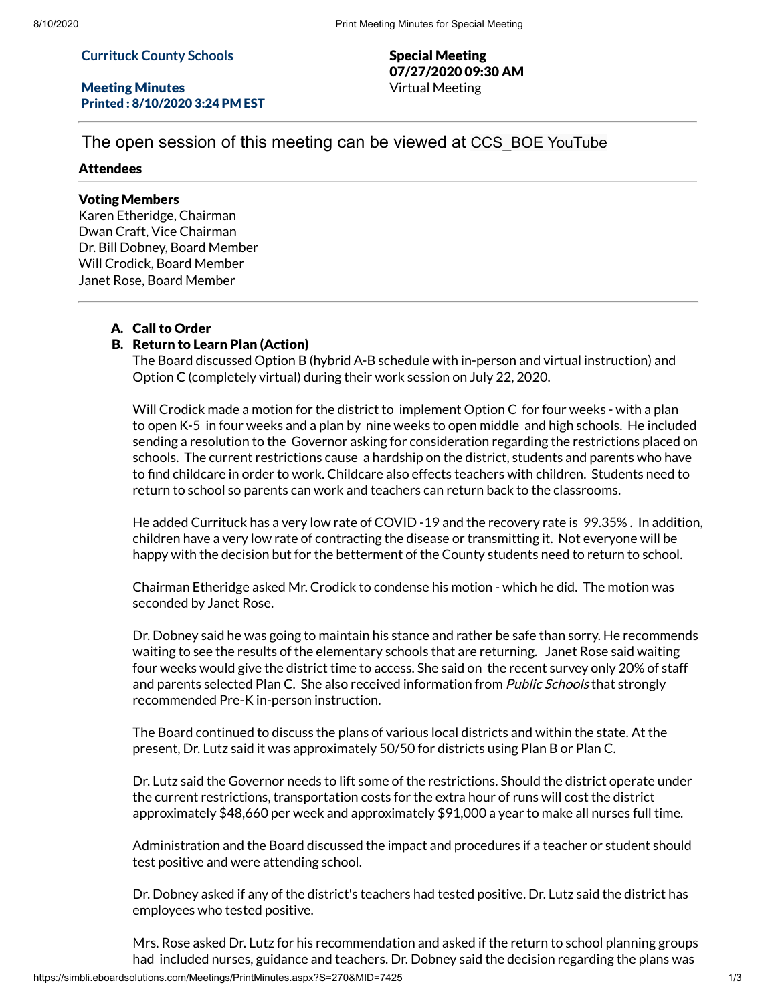#### **Currituck County Schools**

#### Meeting Minutes Printed : 8/10/2020 3:24 PM EST

Special Meeting 07/27/2020 09:30 AM Virtual Meeting

# The open session of this meeting can be viewed at CCS\_BOE YouTube

#### Attendees

## Voting Members

Karen Etheridge, Chairman Dwan Craft, Vice Chairman Dr. Bill Dobney, Board Member Will Crodick, Board Member Janet Rose, Board Member

## A. Call to Order

## B. Return to Learn Plan (Action)

The Board discussed Option B (hybrid A-B schedule with in-person and virtual instruction) and Option C (completely virtual) during their work session on July 22, 2020.

Will Crodick made a motion for the district to implement Option C for four weeks - with a plan to open K-5 in four weeks and a plan by nine weeks to open middle and high schools. He included sending a resolution to the Governor asking for consideration regarding the restrictions placed on schools. The current restrictions cause a hardship on the district, students and parents who have to find childcare in order to work. Childcare also effects teachers with children. Students need to return to school so parents can work and teachers can return back to the classrooms.

He added Currituck has a very low rate of COVID -19 and the recovery rate is 99.35% . In addition, children have a very low rate of contracting the disease or transmitting it. Not everyone will be happy with the decision but for the betterment of the County students need to return to school.

Chairman Etheridge asked Mr. Crodick to condense his motion - which he did. The motion was seconded by Janet Rose.

Dr. Dobney said he was going to maintain his stance and rather be safe than sorry. He recommends waiting to see the results of the elementary schools that are returning. Janet Rose said waiting four weeks would give the district time to access. She said on the recent survey only 20% of staff and parents selected Plan C. She also received information from *Public Schools* that strongly recommended Pre-K in-person instruction.

The Board continued to discuss the plans of various local districts and within the state. At the present, Dr. Lutz said it was approximately 50/50 for districts using Plan B or Plan C.

Dr. Lutz said the Governor needs to lift some of the restrictions. Should the district operate under the current restrictions, transportation costs for the extra hour of runs will cost the district approximately \$48,660 per week and approximately \$91,000 a year to make all nurses full time.

Administration and the Board discussed the impact and procedures if a teacher or student should test positive and were attending school.

Dr. Dobney asked if any of the district's teachers had tested positive. Dr. Lutz said the district has employees who tested positive.

Mrs. Rose asked Dr. Lutz for his recommendation and asked if the return to school planning groups had included nurses, guidance and teachers. Dr. Dobney said the decision regarding the plans was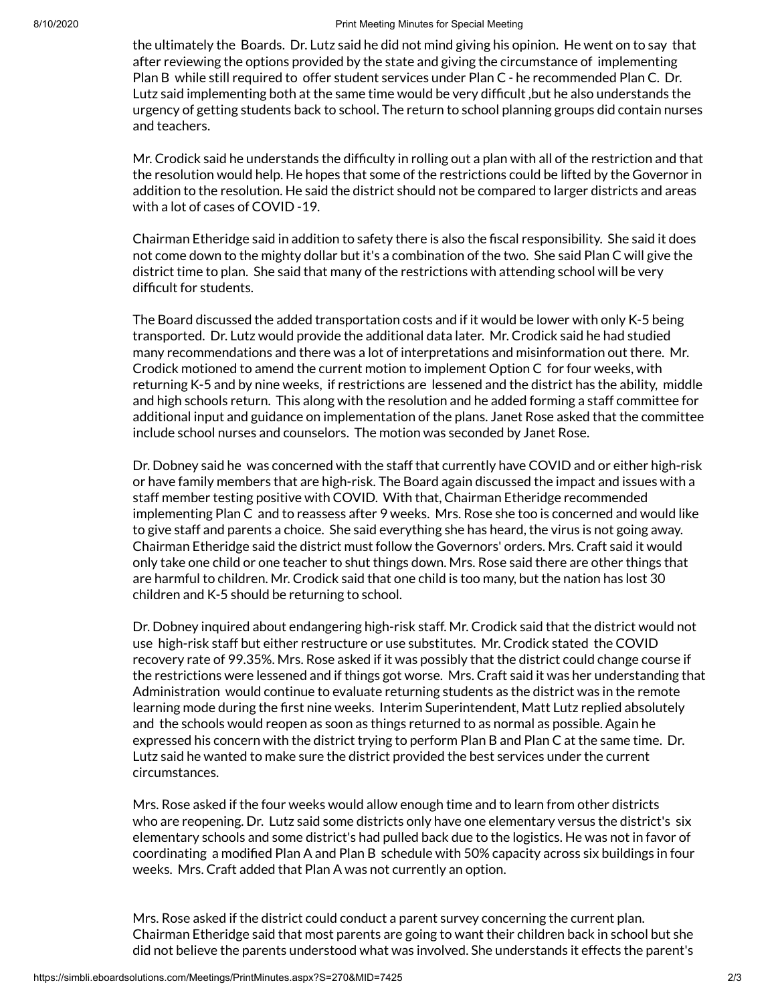the ultimately the Boards. Dr. Lutz said he did not mind giving his opinion. He went on to say that after reviewing the options provided by the state and giving the circumstance of implementing Plan B while still required to offer student services under Plan C - he recommended Plan C. Dr. Lutz said implementing both at the same time would be very difficult ,but he also understands the urgency of getting students back to school. The return to school planning groups did contain nurses and teachers.

Mr. Crodick said he understands the difficulty in rolling out a plan with all of the restriction and that the resolution would help. He hopes that some of the restrictions could be lifted by the Governor in addition to the resolution. He said the district should not be compared to larger districts and areas with a lot of cases of COVID -19.

Chairman Etheridge said in addition to safety there is also the fiscal responsibility. She said it does not come down to the mighty dollar but it's a combination of the two. She said Plan C will give the district time to plan. She said that many of the restrictions with attending school will be very difficult for students.

The Board discussed the added transportation costs and if it would be lower with only K-5 being transported. Dr. Lutz would provide the additional data later. Mr. Crodick said he had studied many recommendations and there was a lot of interpretations and misinformation out there. Mr. Crodick motioned to amend the current motion to implement Option C for four weeks, with returning K-5 and by nine weeks, if restrictions are lessened and the district has the ability, middle and high schools return. This along with the resolution and he added forming a staff committee for additional input and guidance on implementation of the plans. Janet Rose asked that the committee include school nurses and counselors. The motion was seconded by Janet Rose.

Dr. Dobney said he was concerned with the staff that currently have COVID and or either high-risk or have family members that are high-risk. The Board again discussed the impact and issues with a staff member testing positive with COVID. With that, Chairman Etheridge recommended implementing Plan C and to reassess after 9 weeks. Mrs. Rose she too is concerned and would like to give staff and parents a choice. She said everything she has heard, the virus is not going away. Chairman Etheridge said the district must follow the Governors' orders. Mrs. Craft said it would only take one child or one teacher to shut things down. Mrs. Rose said there are other things that are harmful to children. Mr. Crodick said that one child is too many, but the nation has lost 30 children and K-5 should be returning to school.

Dr. Dobney inquired about endangering high-risk staff. Mr. Crodick said that the district would not use high-risk staff but either restructure or use substitutes. Mr. Crodick stated the COVID recovery rate of 99.35%. Mrs. Rose asked if it was possibly that the district could change course if the restrictions were lessened and if things got worse. Mrs. Craft said it was her understanding that Administration would continue to evaluate returning students as the district was in the remote learning mode during the first nine weeks. Interim Superintendent, Matt Lutz replied absolutely and the schools would reopen as soon as things returned to as normal as possible. Again he expressed his concern with the district trying to perform Plan B and Plan C at the same time. Dr. Lutz said he wanted to make sure the district provided the best services under the current circumstances.

Mrs. Rose asked if the four weeks would allow enough time and to learn from other districts who are reopening. Dr. Lutz said some districts only have one elementary versus the district's six elementary schools and some district's had pulled back due to the logistics. He was not in favor of coordinating a modified Plan A and Plan B schedule with 50% capacity across six buildings in four weeks. Mrs. Craft added that Plan A was not currently an option.

Mrs. Rose asked if the district could conduct a parent survey concerning the current plan. Chairman Etheridge said that most parents are going to want their children back in school but she did not believe the parents understood what was involved. She understands it effects the parent's